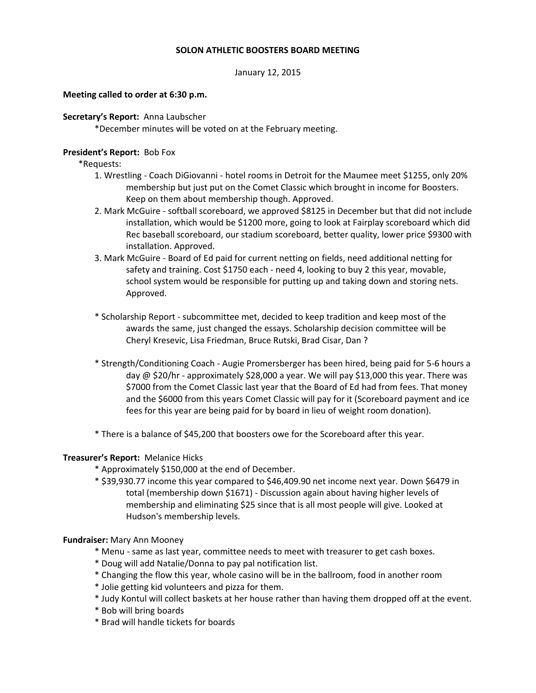# **SOLON ATHLETIC BOOSTERS BOARD MEETING**

January 12, 2015

## **Meeting called to order at 6:30 p.m.**

### **Secretary's Report:** Anna Laubscher

\*December minutes will be voted on at the February meeting.

## **President's Report:** Bob Fox

\*Requests:

- 1. Wrestling Coach DiGiovanni hotel rooms in Detroit for the Maumee meet \$1255, only 20% membership but just put on the Comet Classic which brought in income for Boosters. Keep on them about membership though. Approved.
- 2. Mark McGuire softball scoreboard, we approved \$8125 in December but that did not include installation, which would be \$1200 more, going to look at Fairplay scoreboard which did Rec baseball scoreboard, our stadium scoreboard, better quality, lower price \$9300 with installation. Approved.
- 3. Mark McGuire Board of Ed paid for current netting on fields, need additional netting for safety and training. Cost \$1750 each - need 4, looking to buy 2 this year, movable, school system would be responsible for putting up and taking down and storing nets. Approved.
- \* Scholarship Report subcommittee met, decided to keep tradition and keep most of the awards the same, just changed the essays. Scholarship decision committee will be Cheryl Kresevic, Lisa Friedman, Bruce Rutski, Brad Cisar, Dan ?
- \* Strength/Conditioning Coach Augie Promersberger has been hired, being paid for 5-6 hours a day @ \$20/hr - approximately \$28,000 a year. We will pay \$13,000 this year. There was \$7000 from the Comet Classic last year that the Board of Ed had from fees. That money and the \$6000 from this years Comet Classic will pay for it (Scoreboard payment and ice fees for this year are being paid for by board in lieu of weight room donation).
- \* There is a balance of \$45,200 that boosters owe for the Scoreboard after this year.

# **Treasurer's Report:** Melanice Hicks

- \* Approximately \$150,000 at the end of December.
- \* \$39,930.77 income this year compared to \$46,409.90 net income next year. Down \$6479 in total (membership down \$1671) - Discussion again about having higher levels of membership and eliminating \$25 since that is all most people will give. Looked at Hudson's membership levels.

#### **Fundraiser:** Mary Ann Mooney

- \* Menu same as last year, committee needs to meet with treasurer to get cash boxes.
- \* Doug will add Natalie/Donna to pay pal notification list.
- \* Changing the flow this year, whole casino will be in the ballroom, food in another room
- \* Jolie getting kid volunteers and pizza for them.
- \* Judy Kontul will collect baskets at her house rather than having them dropped off at the event.
- \* Bob will bring boards
- \* Brad will handle tickets for boards